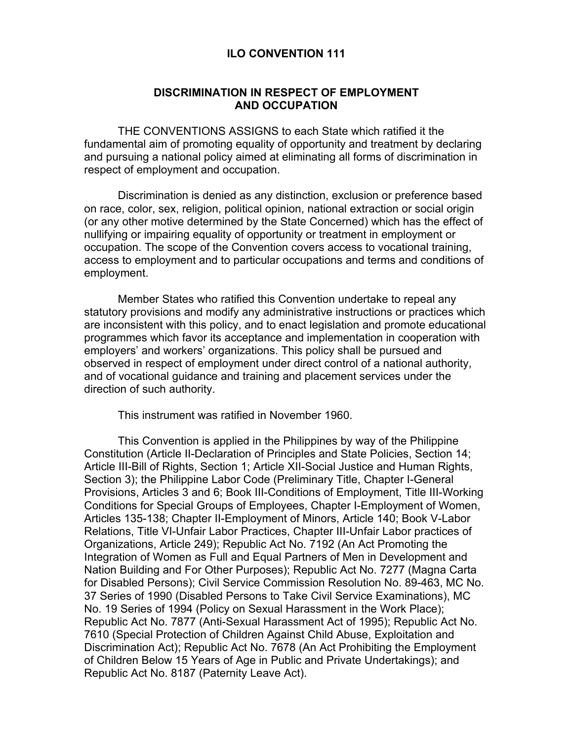#### **ILO CONVENTION 111**

#### **DISCRIMINATION IN RESPECT OF EMPLOYMENT AND OCCUPATION**

THE CONVENTIONS ASSIGNS to each State which ratified it the fundamental aim of promoting equality of opportunity and treatment by declaring and pursuing a national policy aimed at eliminating all forms of discrimination in respect of employment and occupation.

Discrimination is denied as any distinction, exclusion or preference based on race, color, sex, religion, political opinion, national extraction or social origin (or any other motive determined by the State Concerned) which has the effect of nullifying or impairing equality of opportunity or treatment in employment or occupation. The scope of the Convention covers access to vocational training, access to employment and to particular occupations and terms and conditions of employment.

Member States who ratified this Convention undertake to repeal any statutory provisions and modify any administrative instructions or practices which are inconsistent with this policy, and to enact legislation and promote educational programmes which favor its acceptance and implementation in cooperation with employers' and workers' organizations. This policy shall be pursued and observed in respect of employment under direct control of a national authority, and of vocational guidance and training and placement services under the direction of such authority.

This instrument was ratified in November 1960.

This Convention is applied in the Philippines by way of the Philippine Constitution (Article II-Declaration of Principles and State Policies, Section 14; Article III-Bill of Rights, Section 1; Article XII-Social Justice and Human Rights, Section 3); the Philippine Labor Code (Preliminary Title, Chapter I-General Provisions, Articles 3 and 6; Book III-Conditions of Employment, Title III-Working Conditions for Special Groups of Employees, Chapter I-Employment of Women, Articles 135-138; Chapter II-Employment of Minors, Article 140; Book V-Labor Relations, Title VI-Unfair Labor Practices, Chapter III-Unfair Labor practices of Organizations, Article 249); Republic Act No. 7192 (An Act Promoting the Integration of Women as Full and Equal Partners of Men in Development and Nation Building and For Other Purposes); Republic Act No. 7277 (Magna Carta for Disabled Persons); Civil Service Commission Resolution No. 89-463, MC No. 37 Series of 1990 (Disabled Persons to Take Civil Service Examinations), MC No. 19 Series of 1994 (Policy on Sexual Harassment in the Work Place); Republic Act No. 7877 (Anti-Sexual Harassment Act of 1995); Republic Act No. 7610 (Special Protection of Children Against Child Abuse, Exploitation and Discrimination Act); Republic Act No. 7678 (An Act Prohibiting the Employment of Children Below 15 Years of Age in Public and Private Undertakings); and Republic Act No. 8187 (Paternity Leave Act).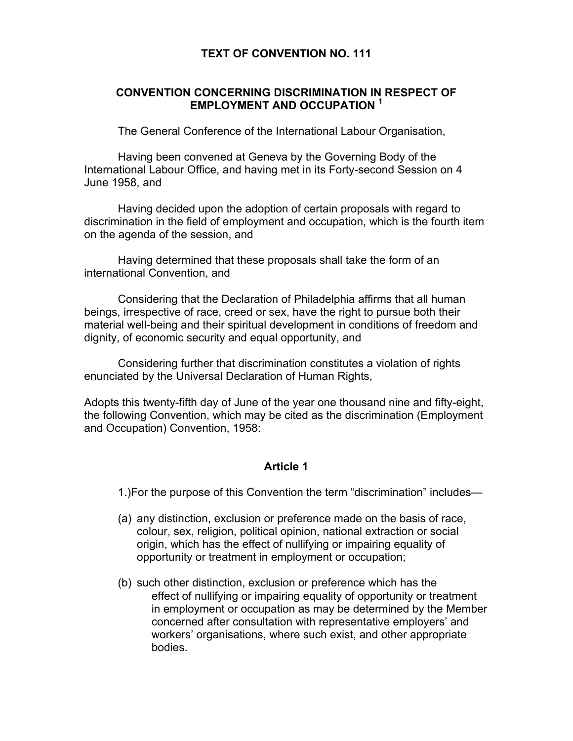### **TEXT OF CONVENTION NO. 111**

# **CONVENTION CONCERNING DISCRIMINATION IN RESPECT OF EMPLOYMENT AND OCCUPATION <sup>1</sup>**

The General Conference of the International Labour Organisation,

 Having been convened at Geneva by the Governing Body of the International Labour Office, and having met in its Forty-second Session on 4 June 1958, and

 Having decided upon the adoption of certain proposals with regard to discrimination in the field of employment and occupation, which is the fourth item on the agenda of the session, and

 Having determined that these proposals shall take the form of an international Convention, and

 Considering that the Declaration of Philadelphia affirms that all human beings, irrespective of race, creed or sex, have the right to pursue both their material well-being and their spiritual development in conditions of freedom and dignity, of economic security and equal opportunity, and

 Considering further that discrimination constitutes a violation of rights enunciated by the Universal Declaration of Human Rights,

Adopts this twenty-fifth day of June of the year one thousand nine and fifty-eight, the following Convention, which may be cited as the discrimination (Employment and Occupation) Convention, 1958:

# **Article 1**

1.)For the purpose of this Convention the term "discrimination" includes—

- (a) any distinction, exclusion or preference made on the basis of race, colour, sex, religion, political opinion, national extraction or social origin, which has the effect of nullifying or impairing equality of opportunity or treatment in employment or occupation;
- (b) such other distinction, exclusion or preference which has the effect of nullifying or impairing equality of opportunity or treatment in employment or occupation as may be determined by the Member concerned after consultation with representative employers' and workers' organisations, where such exist, and other appropriate bodies.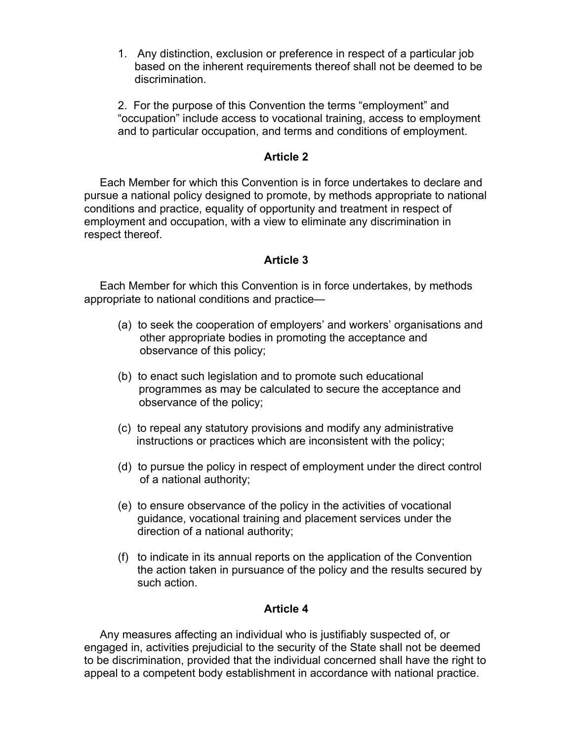1. Any distinction, exclusion or preference in respect of a particular job based on the inherent requirements thereof shall not be deemed to be discrimination.

2. For the purpose of this Convention the terms "employment" and "occupation" include access to vocational training, access to employment and to particular occupation, and terms and conditions of employment.

### **Article 2**

 Each Member for which this Convention is in force undertakes to declare and pursue a national policy designed to promote, by methods appropriate to national conditions and practice, equality of opportunity and treatment in respect of employment and occupation, with a view to eliminate any discrimination in respect thereof.

# **Article 3**

 Each Member for which this Convention is in force undertakes, by methods appropriate to national conditions and practice—

- (a) to seek the cooperation of employers' and workers' organisations and other appropriate bodies in promoting the acceptance and observance of this policy;
- (b) to enact such legislation and to promote such educational programmes as may be calculated to secure the acceptance and observance of the policy;
- (c) to repeal any statutory provisions and modify any administrative instructions or practices which are inconsistent with the policy;
- (d) to pursue the policy in respect of employment under the direct control of a national authority;
- (e) to ensure observance of the policy in the activities of vocational guidance, vocational training and placement services under the direction of a national authority;
- (f) to indicate in its annual reports on the application of the Convention the action taken in pursuance of the policy and the results secured by such action.

# **Article 4**

 Any measures affecting an individual who is justifiably suspected of, or engaged in, activities prejudicial to the security of the State shall not be deemed to be discrimination, provided that the individual concerned shall have the right to appeal to a competent body establishment in accordance with national practice.